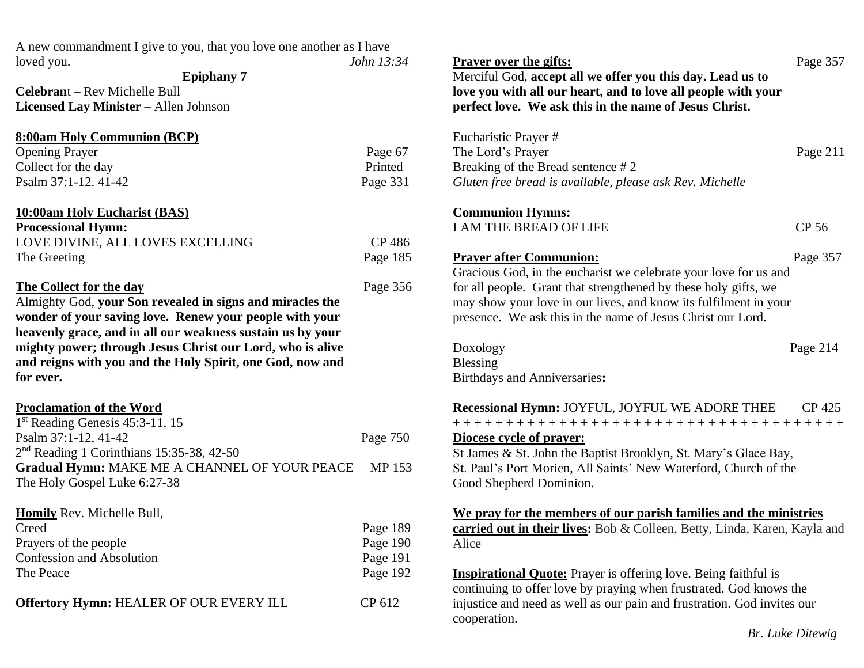| A new commandment I give to you, that you love one another as I have                        |               |                                                                                                                                                                                       |          |
|---------------------------------------------------------------------------------------------|---------------|---------------------------------------------------------------------------------------------------------------------------------------------------------------------------------------|----------|
| loved you.                                                                                  | John 13:34    | <b>Prayer over the gifts:</b>                                                                                                                                                         | Page 357 |
| <b>Epiphany 7</b><br>Celebrant - Rev Michelle Bull<br>Licensed Lay Minister - Allen Johnson |               | Merciful God, accept all we offer you this day. Lead us to<br>love you with all our heart, and to love all people with your<br>perfect love. We ask this in the name of Jesus Christ. |          |
| <b>8:00am Holy Communion (BCP)</b>                                                          |               | Eucharistic Prayer #                                                                                                                                                                  |          |
| <b>Opening Prayer</b>                                                                       | Page 67       | The Lord's Prayer                                                                                                                                                                     | Page 211 |
| Collect for the day                                                                         | Printed       | Breaking of the Bread sentence #2                                                                                                                                                     |          |
| Psalm 37:1-12.41-42                                                                         | Page 331      | Gluten free bread is available, please ask Rev. Michelle                                                                                                                              |          |
| <b>10:00am Holy Eucharist (BAS)</b>                                                         |               | <b>Communion Hymns:</b>                                                                                                                                                               |          |
| <b>Processional Hymn:</b>                                                                   |               | I AM THE BREAD OF LIFE                                                                                                                                                                | CP 56    |
| LOVE DIVINE, ALL LOVES EXCELLING                                                            | <b>CP 486</b> |                                                                                                                                                                                       |          |
| The Greeting                                                                                | Page 185      | <b>Prayer after Communion:</b>                                                                                                                                                        | Page 357 |
|                                                                                             |               | Gracious God, in the eucharist we celebrate your love for us and                                                                                                                      |          |
| The Collect for the day                                                                     | Page 356      | for all people. Grant that strengthened by these holy gifts, we                                                                                                                       |          |
| Almighty God, your Son revealed in signs and miracles the                                   |               | may show your love in our lives, and know its fulfilment in your                                                                                                                      |          |
| wonder of your saving love. Renew your people with your                                     |               | presence. We ask this in the name of Jesus Christ our Lord.                                                                                                                           |          |
| heavenly grace, and in all our weakness sustain us by your                                  |               |                                                                                                                                                                                       |          |
| mighty power; through Jesus Christ our Lord, who is alive                                   |               | Doxology                                                                                                                                                                              | Page 214 |
| and reigns with you and the Holy Spirit, one God, now and                                   |               | <b>Blessing</b>                                                                                                                                                                       |          |
| for ever.                                                                                   |               | Birthdays and Anniversaries:                                                                                                                                                          |          |
| <b>Proclamation of the Word</b>                                                             |               | Recessional Hymn: JOYFUL, JOYFUL WE ADORE THEE                                                                                                                                        | CP 425   |
| 1st Reading Genesis 45:3-11, 15                                                             |               |                                                                                                                                                                                       |          |
| Psalm 37:1-12, 41-42                                                                        | Page 750      | Diocese cycle of prayer:                                                                                                                                                              |          |
| 2 <sup>nd</sup> Reading 1 Corinthians 15:35-38, 42-50                                       |               | St James & St. John the Baptist Brooklyn, St. Mary's Glace Bay,                                                                                                                       |          |
| Gradual Hymn: MAKE ME A CHANNEL OF YOUR PEACE                                               | MP 153        | St. Paul's Port Morien, All Saints' New Waterford, Church of the                                                                                                                      |          |
| The Holy Gospel Luke 6:27-38                                                                |               | Good Shepherd Dominion.                                                                                                                                                               |          |
| Homily Rev. Michelle Bull,                                                                  |               | We pray for the members of our parish families and the ministries                                                                                                                     |          |
| Creed                                                                                       | Page 189      | carried out in their lives: Bob & Colleen, Betty, Linda, Karen, Kayla and                                                                                                             |          |
| Prayers of the people                                                                       | Page 190      | Alice                                                                                                                                                                                 |          |
| <b>Confession and Absolution</b>                                                            | Page 191      |                                                                                                                                                                                       |          |
| The Peace                                                                                   | Page 192      | <b>Inspirational Quote:</b> Prayer is offering love. Being faithful is<br>continuing to offer love by praying when frustrated. God knows the                                          |          |
| Offertory Hymn: HEALER OF OUR EVERY ILL                                                     | CP 612        | injustice and need as well as our pain and frustration. God invites our<br>cooperation.                                                                                               |          |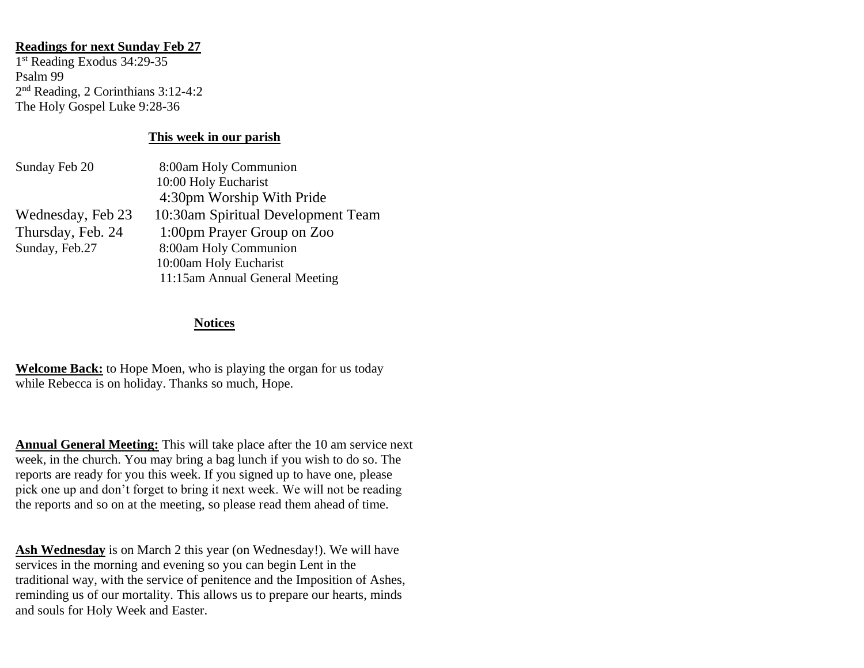## **Readings for next Sunday Feb 27**

1 st Reading Exodus 34:29-35 Psalm 99 2 nd Reading, 2 Corinthians 3:12-4:2 The Holy Gospel Luke 9:28-36

## **This week in our parish**

| Sunday Feb 20     | 8:00am Holy Communion              |
|-------------------|------------------------------------|
|                   | 10:00 Holy Eucharist               |
|                   | 4:30pm Worship With Pride          |
| Wednesday, Feb 23 | 10:30am Spiritual Development Team |
| Thursday, Feb. 24 | 1:00pm Prayer Group on Zoo         |
| Sunday, Feb.27    | 8:00am Holy Communion              |
|                   | 10:00am Holy Eucharist             |
|                   | 11:15am Annual General Meeting     |

## **Notices**

**Welcome Back:** to Hope Moen, who is playing the organ for us today while Rebecca is on holiday. Thanks so much, Hope.

**Annual General Meeting:** This will take place after the 10 am service next week, in the church. You may bring a bag lunch if you wish to do so. The reports are ready for you this week. If you signed up to have one, please pick one up and don't forget to bring it next week. We will not be reading the reports and so on at the meeting, so please read them ahead of time.

**Ash Wednesday** is on March 2 this year (on Wednesday!). We will have services in the morning and evening so you can begin Lent in the traditional way, with the service of penitence and the Imposition of Ashes, reminding us of our mortality. This allows us to prepare our hearts, minds and souls for Holy Week and Easter.